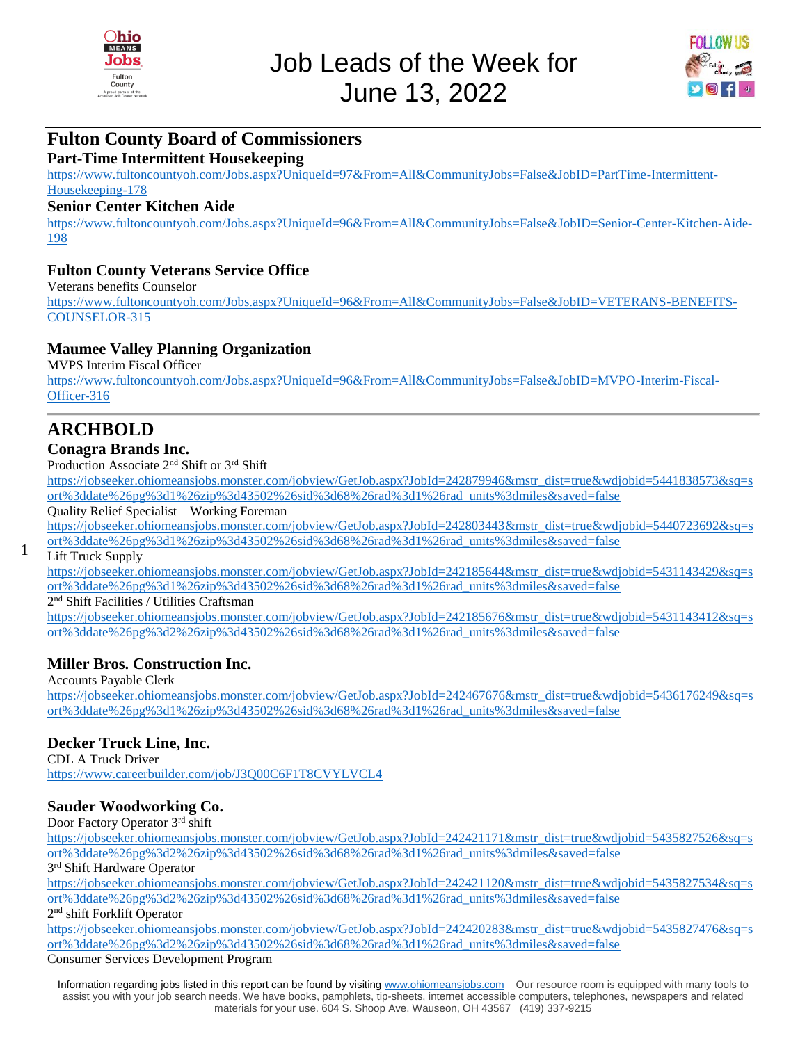



### **Fulton County Board of Commissioners**

### **Part-Time Intermittent Housekeeping**

[https://www.fultoncountyoh.com/Jobs.aspx?UniqueId=97&From=All&CommunityJobs=False&JobID=PartTime-Intermittent-](https://www.fultoncountyoh.com/Jobs.aspx?UniqueId=97&From=All&CommunityJobs=False&JobID=PartTime-Intermittent-Housekeeping-178)[Housekeeping-178](https://www.fultoncountyoh.com/Jobs.aspx?UniqueId=97&From=All&CommunityJobs=False&JobID=PartTime-Intermittent-Housekeeping-178)

#### **Senior Center Kitchen Aide**

[https://www.fultoncountyoh.com/Jobs.aspx?UniqueId=96&From=All&CommunityJobs=False&JobID=Senior-Center-Kitchen-Aide-](https://www.fultoncountyoh.com/Jobs.aspx?UniqueId=96&From=All&CommunityJobs=False&JobID=Senior-Center-Kitchen-Aide-198)[198](https://www.fultoncountyoh.com/Jobs.aspx?UniqueId=96&From=All&CommunityJobs=False&JobID=Senior-Center-Kitchen-Aide-198)

### **Fulton County Veterans Service Office**

Veterans benefits Counselor

[https://www.fultoncountyoh.com/Jobs.aspx?UniqueId=96&From=All&CommunityJobs=False&JobID=VETERANS-BENEFITS-](https://www.fultoncountyoh.com/Jobs.aspx?UniqueId=96&From=All&CommunityJobs=False&JobID=VETERANS-BENEFITS-COUNSELOR-315)[COUNSELOR-315](https://www.fultoncountyoh.com/Jobs.aspx?UniqueId=96&From=All&CommunityJobs=False&JobID=VETERANS-BENEFITS-COUNSELOR-315)

#### **Maumee Valley Planning Organization**

MVPS Interim Fiscal Officer

[https://www.fultoncountyoh.com/Jobs.aspx?UniqueId=96&From=All&CommunityJobs=False&JobID=MVPO-Interim-Fiscal-](https://www.fultoncountyoh.com/Jobs.aspx?UniqueId=96&From=All&CommunityJobs=False&JobID=MVPO-Interim-Fiscal-Officer-316)[Officer-316](https://www.fultoncountyoh.com/Jobs.aspx?UniqueId=96&From=All&CommunityJobs=False&JobID=MVPO-Interim-Fiscal-Officer-316)

### **ARCHBOLD**

#### **Conagra Brands Inc.**

Production Associate 2nd Shift or 3rd Shift

[https://jobseeker.ohiomeansjobs.monster.com/jobview/GetJob.aspx?JobId=242879946&mstr\\_dist=true&wdjobid=5441838573&sq=s](https://jobseeker.ohiomeansjobs.monster.com/jobview/GetJob.aspx?JobId=242879946&mstr_dist=true&wdjobid=5441838573&sq=sort%3ddate%26pg%3d1%26zip%3d43502%26sid%3d68%26rad%3d1%26rad_units%3dmiles&saved=false) [ort%3ddate%26pg%3d1%26zip%3d43502%26sid%3d68%26rad%3d1%26rad\\_units%3dmiles&saved=false](https://jobseeker.ohiomeansjobs.monster.com/jobview/GetJob.aspx?JobId=242879946&mstr_dist=true&wdjobid=5441838573&sq=sort%3ddate%26pg%3d1%26zip%3d43502%26sid%3d68%26rad%3d1%26rad_units%3dmiles&saved=false)

Quality Relief Specialist – Working Foreman

[https://jobseeker.ohiomeansjobs.monster.com/jobview/GetJob.aspx?JobId=242803443&mstr\\_dist=true&wdjobid=5440723692&sq=s](https://jobseeker.ohiomeansjobs.monster.com/jobview/GetJob.aspx?JobId=242803443&mstr_dist=true&wdjobid=5440723692&sq=sort%3ddate%26pg%3d1%26zip%3d43502%26sid%3d68%26rad%3d1%26rad_units%3dmiles&saved=false) [ort%3ddate%26pg%3d1%26zip%3d43502%26sid%3d68%26rad%3d1%26rad\\_units%3dmiles&saved=false](https://jobseeker.ohiomeansjobs.monster.com/jobview/GetJob.aspx?JobId=242803443&mstr_dist=true&wdjobid=5440723692&sq=sort%3ddate%26pg%3d1%26zip%3d43502%26sid%3d68%26rad%3d1%26rad_units%3dmiles&saved=false)

#### Lift Truck Supply

1

[https://jobseeker.ohiomeansjobs.monster.com/jobview/GetJob.aspx?JobId=242185644&mstr\\_dist=true&wdjobid=5431143429&sq=s](https://jobseeker.ohiomeansjobs.monster.com/jobview/GetJob.aspx?JobId=242185644&mstr_dist=true&wdjobid=5431143429&sq=sort%3ddate%26pg%3d1%26zip%3d43502%26sid%3d68%26rad%3d1%26rad_units%3dmiles&saved=false) [ort%3ddate%26pg%3d1%26zip%3d43502%26sid%3d68%26rad%3d1%26rad\\_units%3dmiles&saved=false](https://jobseeker.ohiomeansjobs.monster.com/jobview/GetJob.aspx?JobId=242185644&mstr_dist=true&wdjobid=5431143429&sq=sort%3ddate%26pg%3d1%26zip%3d43502%26sid%3d68%26rad%3d1%26rad_units%3dmiles&saved=false)

2 nd Shift Facilities / Utilities Craftsman

[https://jobseeker.ohiomeansjobs.monster.com/jobview/GetJob.aspx?JobId=242185676&mstr\\_dist=true&wdjobid=5431143412&sq=s](https://jobseeker.ohiomeansjobs.monster.com/jobview/GetJob.aspx?JobId=242185676&mstr_dist=true&wdjobid=5431143412&sq=sort%3ddate%26pg%3d2%26zip%3d43502%26sid%3d68%26rad%3d1%26rad_units%3dmiles&saved=false) [ort%3ddate%26pg%3d2%26zip%3d43502%26sid%3d68%26rad%3d1%26rad\\_units%3dmiles&saved=false](https://jobseeker.ohiomeansjobs.monster.com/jobview/GetJob.aspx?JobId=242185676&mstr_dist=true&wdjobid=5431143412&sq=sort%3ddate%26pg%3d2%26zip%3d43502%26sid%3d68%26rad%3d1%26rad_units%3dmiles&saved=false)

#### **Miller Bros. Construction Inc.**

Accounts Payable Clerk

[https://jobseeker.ohiomeansjobs.monster.com/jobview/GetJob.aspx?JobId=242467676&mstr\\_dist=true&wdjobid=5436176249&sq=s](https://jobseeker.ohiomeansjobs.monster.com/jobview/GetJob.aspx?JobId=242467676&mstr_dist=true&wdjobid=5436176249&sq=sort%3ddate%26pg%3d1%26zip%3d43502%26sid%3d68%26rad%3d1%26rad_units%3dmiles&saved=false) [ort%3ddate%26pg%3d1%26zip%3d43502%26sid%3d68%26rad%3d1%26rad\\_units%3dmiles&saved=false](https://jobseeker.ohiomeansjobs.monster.com/jobview/GetJob.aspx?JobId=242467676&mstr_dist=true&wdjobid=5436176249&sq=sort%3ddate%26pg%3d1%26zip%3d43502%26sid%3d68%26rad%3d1%26rad_units%3dmiles&saved=false)

### **Decker Truck Line, Inc.**

CDL A Truck Driver <https://www.careerbuilder.com/job/J3Q00C6F1T8CVYLVCL4>

### **Sauder Woodworking Co.**

Door Factory Operator 3rd shift

[https://jobseeker.ohiomeansjobs.monster.com/jobview/GetJob.aspx?JobId=242421171&mstr\\_dist=true&wdjobid=5435827526&sq=s](https://jobseeker.ohiomeansjobs.monster.com/jobview/GetJob.aspx?JobId=242421171&mstr_dist=true&wdjobid=5435827526&sq=sort%3ddate%26pg%3d2%26zip%3d43502%26sid%3d68%26rad%3d1%26rad_units%3dmiles&saved=false) [ort%3ddate%26pg%3d2%26zip%3d43502%26sid%3d68%26rad%3d1%26rad\\_units%3dmiles&saved=false](https://jobseeker.ohiomeansjobs.monster.com/jobview/GetJob.aspx?JobId=242421171&mstr_dist=true&wdjobid=5435827526&sq=sort%3ddate%26pg%3d2%26zip%3d43502%26sid%3d68%26rad%3d1%26rad_units%3dmiles&saved=false)

3<sup>rd</sup> Shift Hardware Operator

[https://jobseeker.ohiomeansjobs.monster.com/jobview/GetJob.aspx?JobId=242421120&mstr\\_dist=true&wdjobid=5435827534&sq=s](https://jobseeker.ohiomeansjobs.monster.com/jobview/GetJob.aspx?JobId=242421120&mstr_dist=true&wdjobid=5435827534&sq=sort%3ddate%26pg%3d2%26zip%3d43502%26sid%3d68%26rad%3d1%26rad_units%3dmiles&saved=false) [ort%3ddate%26pg%3d2%26zip%3d43502%26sid%3d68%26rad%3d1%26rad\\_units%3dmiles&saved=false](https://jobseeker.ohiomeansjobs.monster.com/jobview/GetJob.aspx?JobId=242421120&mstr_dist=true&wdjobid=5435827534&sq=sort%3ddate%26pg%3d2%26zip%3d43502%26sid%3d68%26rad%3d1%26rad_units%3dmiles&saved=false)

#### 2<sup>nd</sup> shift Forklift Operator

[https://jobseeker.ohiomeansjobs.monster.com/jobview/GetJob.aspx?JobId=242420283&mstr\\_dist=true&wdjobid=5435827476&sq=s](https://jobseeker.ohiomeansjobs.monster.com/jobview/GetJob.aspx?JobId=242420283&mstr_dist=true&wdjobid=5435827476&sq=sort%3ddate%26pg%3d2%26zip%3d43502%26sid%3d68%26rad%3d1%26rad_units%3dmiles&saved=false) [ort%3ddate%26pg%3d2%26zip%3d43502%26sid%3d68%26rad%3d1%26rad\\_units%3dmiles&saved=false](https://jobseeker.ohiomeansjobs.monster.com/jobview/GetJob.aspx?JobId=242420283&mstr_dist=true&wdjobid=5435827476&sq=sort%3ddate%26pg%3d2%26zip%3d43502%26sid%3d68%26rad%3d1%26rad_units%3dmiles&saved=false)

#### Consumer Services Development Program

Information regarding jobs listed in this report can be found by visiting [www.ohiomeansjobs.com](http://www.ohiomeansjobs.com/) Our resource room is equipped with many tools to assist you with your job search needs. We have books, pamphlets, tip-sheets, internet accessible computers, telephones, newspapers and related materials for your use. 604 S. Shoop Ave. Wauseon, OH 43567 (419) 337-9215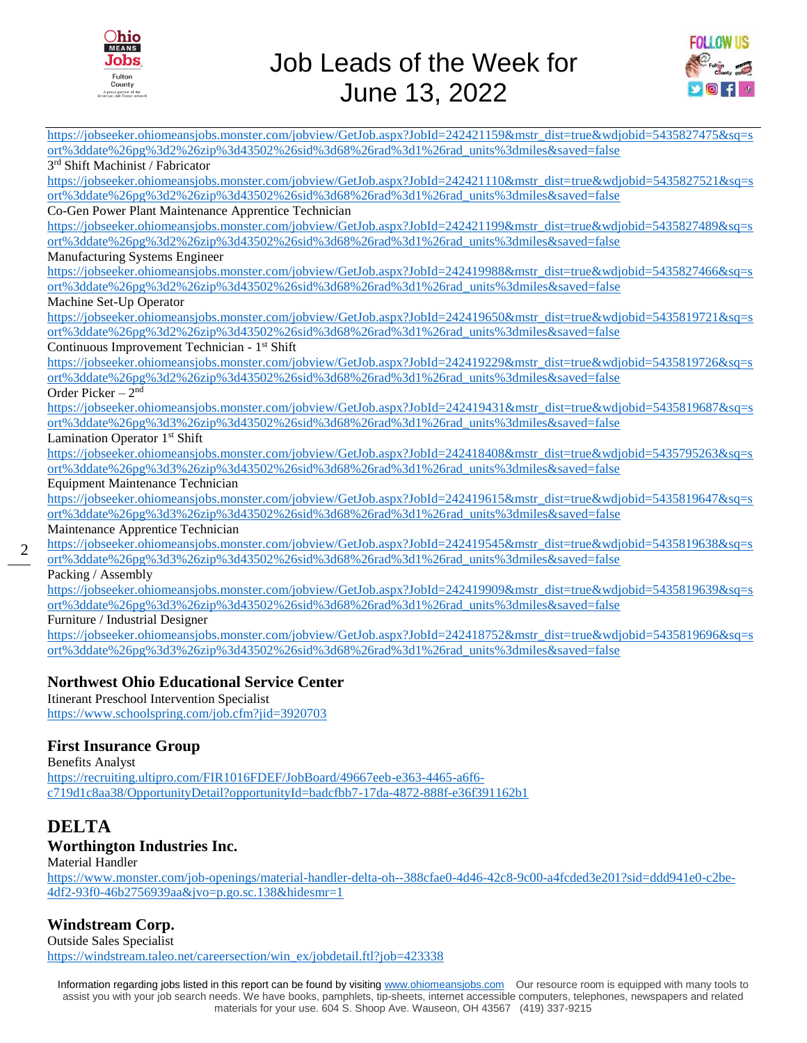



[https://jobseeker.ohiomeansjobs.monster.com/jobview/GetJob.aspx?JobId=242421159&mstr\\_dist=true&wdjobid=5435827475&sq=s](https://jobseeker.ohiomeansjobs.monster.com/jobview/GetJob.aspx?JobId=242421159&mstr_dist=true&wdjobid=5435827475&sq=sort%3ddate%26pg%3d2%26zip%3d43502%26sid%3d68%26rad%3d1%26rad_units%3dmiles&saved=false) [ort%3ddate%26pg%3d2%26zip%3d43502%26sid%3d68%26rad%3d1%26rad\\_units%3dmiles&saved=false](https://jobseeker.ohiomeansjobs.monster.com/jobview/GetJob.aspx?JobId=242421159&mstr_dist=true&wdjobid=5435827475&sq=sort%3ddate%26pg%3d2%26zip%3d43502%26sid%3d68%26rad%3d1%26rad_units%3dmiles&saved=false) 3 rd Shift Machinist / Fabricator [https://jobseeker.ohiomeansjobs.monster.com/jobview/GetJob.aspx?JobId=242421110&mstr\\_dist=true&wdjobid=5435827521&sq=s](https://jobseeker.ohiomeansjobs.monster.com/jobview/GetJob.aspx?JobId=242421110&mstr_dist=true&wdjobid=5435827521&sq=sort%3ddate%26pg%3d2%26zip%3d43502%26sid%3d68%26rad%3d1%26rad_units%3dmiles&saved=false) [ort%3ddate%26pg%3d2%26zip%3d43502%26sid%3d68%26rad%3d1%26rad\\_units%3dmiles&saved=false](https://jobseeker.ohiomeansjobs.monster.com/jobview/GetJob.aspx?JobId=242421110&mstr_dist=true&wdjobid=5435827521&sq=sort%3ddate%26pg%3d2%26zip%3d43502%26sid%3d68%26rad%3d1%26rad_units%3dmiles&saved=false) Co-Gen Power Plant Maintenance Apprentice Technician [https://jobseeker.ohiomeansjobs.monster.com/jobview/GetJob.aspx?JobId=242421199&mstr\\_dist=true&wdjobid=5435827489&sq=s](https://jobseeker.ohiomeansjobs.monster.com/jobview/GetJob.aspx?JobId=242421199&mstr_dist=true&wdjobid=5435827489&sq=sort%3ddate%26pg%3d2%26zip%3d43502%26sid%3d68%26rad%3d1%26rad_units%3dmiles&saved=false) [ort%3ddate%26pg%3d2%26zip%3d43502%26sid%3d68%26rad%3d1%26rad\\_units%3dmiles&saved=false](https://jobseeker.ohiomeansjobs.monster.com/jobview/GetJob.aspx?JobId=242421199&mstr_dist=true&wdjobid=5435827489&sq=sort%3ddate%26pg%3d2%26zip%3d43502%26sid%3d68%26rad%3d1%26rad_units%3dmiles&saved=false) Manufacturing Systems Engineer [https://jobseeker.ohiomeansjobs.monster.com/jobview/GetJob.aspx?JobId=242419988&mstr\\_dist=true&wdjobid=5435827466&sq=s](https://jobseeker.ohiomeansjobs.monster.com/jobview/GetJob.aspx?JobId=242419988&mstr_dist=true&wdjobid=5435827466&sq=sort%3ddate%26pg%3d2%26zip%3d43502%26sid%3d68%26rad%3d1%26rad_units%3dmiles&saved=false) [ort%3ddate%26pg%3d2%26zip%3d43502%26sid%3d68%26rad%3d1%26rad\\_units%3dmiles&saved=false](https://jobseeker.ohiomeansjobs.monster.com/jobview/GetJob.aspx?JobId=242419988&mstr_dist=true&wdjobid=5435827466&sq=sort%3ddate%26pg%3d2%26zip%3d43502%26sid%3d68%26rad%3d1%26rad_units%3dmiles&saved=false) Machine Set-Up Operator [https://jobseeker.ohiomeansjobs.monster.com/jobview/GetJob.aspx?JobId=242419650&mstr\\_dist=true&wdjobid=5435819721&sq=s](https://jobseeker.ohiomeansjobs.monster.com/jobview/GetJob.aspx?JobId=242419650&mstr_dist=true&wdjobid=5435819721&sq=sort%3ddate%26pg%3d2%26zip%3d43502%26sid%3d68%26rad%3d1%26rad_units%3dmiles&saved=false) [ort%3ddate%26pg%3d2%26zip%3d43502%26sid%3d68%26rad%3d1%26rad\\_units%3dmiles&saved=false](https://jobseeker.ohiomeansjobs.monster.com/jobview/GetJob.aspx?JobId=242419650&mstr_dist=true&wdjobid=5435819721&sq=sort%3ddate%26pg%3d2%26zip%3d43502%26sid%3d68%26rad%3d1%26rad_units%3dmiles&saved=false) Continuous Improvement Technician - 1 st Shift [https://jobseeker.ohiomeansjobs.monster.com/jobview/GetJob.aspx?JobId=242419229&mstr\\_dist=true&wdjobid=5435819726&sq=s](https://jobseeker.ohiomeansjobs.monster.com/jobview/GetJob.aspx?JobId=242419229&mstr_dist=true&wdjobid=5435819726&sq=sort%3ddate%26pg%3d2%26zip%3d43502%26sid%3d68%26rad%3d1%26rad_units%3dmiles&saved=false) [ort%3ddate%26pg%3d2%26zip%3d43502%26sid%3d68%26rad%3d1%26rad\\_units%3dmiles&saved=false](https://jobseeker.ohiomeansjobs.monster.com/jobview/GetJob.aspx?JobId=242419229&mstr_dist=true&wdjobid=5435819726&sq=sort%3ddate%26pg%3d2%26zip%3d43502%26sid%3d68%26rad%3d1%26rad_units%3dmiles&saved=false) Order Picker – 2 nd [https://jobseeker.ohiomeansjobs.monster.com/jobview/GetJob.aspx?JobId=242419431&mstr\\_dist=true&wdjobid=5435819687&sq=s](https://jobseeker.ohiomeansjobs.monster.com/jobview/GetJob.aspx?JobId=242419431&mstr_dist=true&wdjobid=5435819687&sq=sort%3ddate%26pg%3d3%26zip%3d43502%26sid%3d68%26rad%3d1%26rad_units%3dmiles&saved=false) [ort%3ddate%26pg%3d3%26zip%3d43502%26sid%3d68%26rad%3d1%26rad\\_units%3dmiles&saved=false](https://jobseeker.ohiomeansjobs.monster.com/jobview/GetJob.aspx?JobId=242419431&mstr_dist=true&wdjobid=5435819687&sq=sort%3ddate%26pg%3d3%26zip%3d43502%26sid%3d68%26rad%3d1%26rad_units%3dmiles&saved=false) Lamination Operator 1<sup>st</sup> Shift [https://jobseeker.ohiomeansjobs.monster.com/jobview/GetJob.aspx?JobId=242418408&mstr\\_dist=true&wdjobid=5435795263&sq=s](https://jobseeker.ohiomeansjobs.monster.com/jobview/GetJob.aspx?JobId=242418408&mstr_dist=true&wdjobid=5435795263&sq=sort%3ddate%26pg%3d3%26zip%3d43502%26sid%3d68%26rad%3d1%26rad_units%3dmiles&saved=false) [ort%3ddate%26pg%3d3%26zip%3d43502%26sid%3d68%26rad%3d1%26rad\\_units%3dmiles&saved=false](https://jobseeker.ohiomeansjobs.monster.com/jobview/GetJob.aspx?JobId=242418408&mstr_dist=true&wdjobid=5435795263&sq=sort%3ddate%26pg%3d3%26zip%3d43502%26sid%3d68%26rad%3d1%26rad_units%3dmiles&saved=false) Equipment Maintenance Technician [https://jobseeker.ohiomeansjobs.monster.com/jobview/GetJob.aspx?JobId=242419615&mstr\\_dist=true&wdjobid=5435819647&sq=s](https://jobseeker.ohiomeansjobs.monster.com/jobview/GetJob.aspx?JobId=242419615&mstr_dist=true&wdjobid=5435819647&sq=sort%3ddate%26pg%3d3%26zip%3d43502%26sid%3d68%26rad%3d1%26rad_units%3dmiles&saved=false) [ort%3ddate%26pg%3d3%26zip%3d43502%26sid%3d68%26rad%3d1%26rad\\_units%3dmiles&saved=false](https://jobseeker.ohiomeansjobs.monster.com/jobview/GetJob.aspx?JobId=242419615&mstr_dist=true&wdjobid=5435819647&sq=sort%3ddate%26pg%3d3%26zip%3d43502%26sid%3d68%26rad%3d1%26rad_units%3dmiles&saved=false) Maintenance Apprentice Technician [https://jobseeker.ohiomeansjobs.monster.com/jobview/GetJob.aspx?JobId=242419545&mstr\\_dist=true&wdjobid=5435819638&sq=s](https://jobseeker.ohiomeansjobs.monster.com/jobview/GetJob.aspx?JobId=242419545&mstr_dist=true&wdjobid=5435819638&sq=sort%3ddate%26pg%3d3%26zip%3d43502%26sid%3d68%26rad%3d1%26rad_units%3dmiles&saved=false) [ort%3ddate%26pg%3d3%26zip%3d43502%26sid%3d68%26rad%3d1%26rad\\_units%3dmiles&saved=false](https://jobseeker.ohiomeansjobs.monster.com/jobview/GetJob.aspx?JobId=242419545&mstr_dist=true&wdjobid=5435819638&sq=sort%3ddate%26pg%3d3%26zip%3d43502%26sid%3d68%26rad%3d1%26rad_units%3dmiles&saved=false) Packing / Assembly [https://jobseeker.ohiomeansjobs.monster.com/jobview/GetJob.aspx?JobId=242419909&mstr\\_dist=true&wdjobid=5435819639&sq=s](https://jobseeker.ohiomeansjobs.monster.com/jobview/GetJob.aspx?JobId=242419909&mstr_dist=true&wdjobid=5435819639&sq=sort%3ddate%26pg%3d3%26zip%3d43502%26sid%3d68%26rad%3d1%26rad_units%3dmiles&saved=false) [ort%3ddate%26pg%3d3%26zip%3d43502%26sid%3d68%26rad%3d1%26rad\\_units%3dmiles&saved=false](https://jobseeker.ohiomeansjobs.monster.com/jobview/GetJob.aspx?JobId=242419909&mstr_dist=true&wdjobid=5435819639&sq=sort%3ddate%26pg%3d3%26zip%3d43502%26sid%3d68%26rad%3d1%26rad_units%3dmiles&saved=false) Furniture / Industrial Designer [https://jobseeker.ohiomeansjobs.monster.com/jobview/GetJob.aspx?JobId=242418752&mstr\\_dist=true&wdjobid=5435819696&sq=s](https://jobseeker.ohiomeansjobs.monster.com/jobview/GetJob.aspx?JobId=242418752&mstr_dist=true&wdjobid=5435819696&sq=sort%3ddate%26pg%3d3%26zip%3d43502%26sid%3d68%26rad%3d1%26rad_units%3dmiles&saved=false) [ort%3ddate%26pg%3d3%26zip%3d43502%26sid%3d68%26rad%3d1%26rad\\_units%3dmiles&saved=false](https://jobseeker.ohiomeansjobs.monster.com/jobview/GetJob.aspx?JobId=242418752&mstr_dist=true&wdjobid=5435819696&sq=sort%3ddate%26pg%3d3%26zip%3d43502%26sid%3d68%26rad%3d1%26rad_units%3dmiles&saved=false) **Northwest Ohio Educational Service Center**

Itinerant Preschool Intervention Specialist

<https://www.schoolspring.com/job.cfm?jid=3920703>

### **First Insurance Group**

Benefits Analyst [https://recruiting.ultipro.com/FIR1016FDEF/JobBoard/49667eeb-e363-4465-a6f6](https://recruiting.ultipro.com/FIR1016FDEF/JobBoard/49667eeb-e363-4465-a6f6-c719d1c8aa38/OpportunityDetail?opportunityId=badcfbb7-17da-4872-888f-e36f391162b1) [c719d1c8aa38/OpportunityDetail?opportunityId=badcfbb7-17da-4872-888f-e36f391162b1](https://recruiting.ultipro.com/FIR1016FDEF/JobBoard/49667eeb-e363-4465-a6f6-c719d1c8aa38/OpportunityDetail?opportunityId=badcfbb7-17da-4872-888f-e36f391162b1)

# **DELTA**

 $\mathcal{D}_{\mathcal{L}}$ 

### **Worthington Industries Inc.**

Material Handler

[https://www.monster.com/job-openings/material-handler-delta-oh--388cfae0-4d46-42c8-9c00-a4fcded3e201?sid=ddd941e0-c2be-](https://www.monster.com/job-openings/material-handler-delta-oh--388cfae0-4d46-42c8-9c00-a4fcded3e201?sid=ddd941e0-c2be-4df2-93f0-46b2756939aa&jvo=p.go.sc.138&hidesmr=1)[4df2-93f0-46b2756939aa&jvo=p.go.sc.138&hidesmr=1](https://www.monster.com/job-openings/material-handler-delta-oh--388cfae0-4d46-42c8-9c00-a4fcded3e201?sid=ddd941e0-c2be-4df2-93f0-46b2756939aa&jvo=p.go.sc.138&hidesmr=1)

## **Windstream Corp.**

Outside Sales Specialist [https://windstream.taleo.net/careersection/win\\_ex/jobdetail.ftl?job=423338](https://windstream.taleo.net/careersection/win_ex/jobdetail.ftl?job=423338)

Information regarding jobs listed in this report can be found by visiting [www.ohiomeansjobs.com](http://www.ohiomeansjobs.com/) Our resource room is equipped with many tools to assist you with your job search needs. We have books, pamphlets, tip-sheets, internet accessible computers, telephones, newspapers and related materials for your use. 604 S. Shoop Ave. Wauseon, OH 43567 (419) 337-9215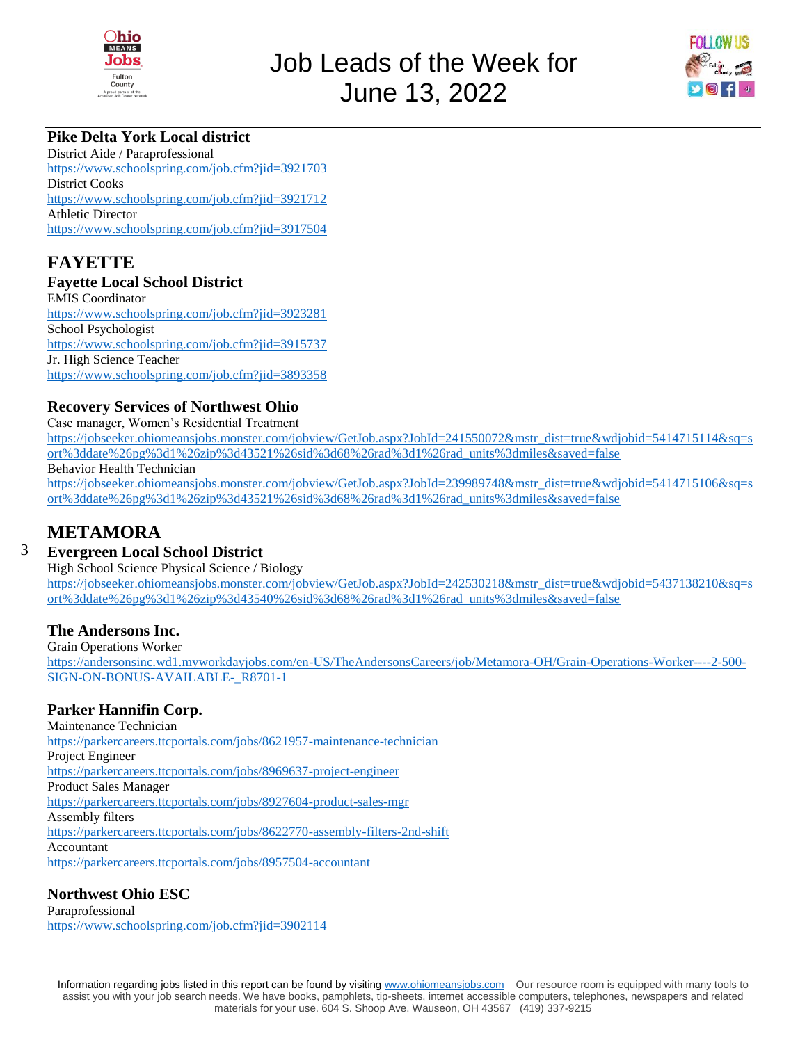



### **Pike Delta York Local district**

District Aide / Paraprofessional <https://www.schoolspring.com/job.cfm?jid=3921703> District Cooks <https://www.schoolspring.com/job.cfm?jid=3921712> Athletic Director <https://www.schoolspring.com/job.cfm?jid=3917504>

# **FAYETTE**

# **Fayette Local School District**

EMIS Coordinator <https://www.schoolspring.com/job.cfm?jid=3923281> School Psychologist <https://www.schoolspring.com/job.cfm?jid=3915737> Jr. High Science Teacher <https://www.schoolspring.com/job.cfm?jid=3893358>

### **Recovery Services of Northwest Ohio**

Case manager, Women's Residential Treatment

[https://jobseeker.ohiomeansjobs.monster.com/jobview/GetJob.aspx?JobId=241550072&mstr\\_dist=true&wdjobid=5414715114&sq=s](https://jobseeker.ohiomeansjobs.monster.com/jobview/GetJob.aspx?JobId=241550072&mstr_dist=true&wdjobid=5414715114&sq=sort%3ddate%26pg%3d1%26zip%3d43521%26sid%3d68%26rad%3d1%26rad_units%3dmiles&saved=false) [ort%3ddate%26pg%3d1%26zip%3d43521%26sid%3d68%26rad%3d1%26rad\\_units%3dmiles&saved=false](https://jobseeker.ohiomeansjobs.monster.com/jobview/GetJob.aspx?JobId=241550072&mstr_dist=true&wdjobid=5414715114&sq=sort%3ddate%26pg%3d1%26zip%3d43521%26sid%3d68%26rad%3d1%26rad_units%3dmiles&saved=false)

Behavior Health Technician

[https://jobseeker.ohiomeansjobs.monster.com/jobview/GetJob.aspx?JobId=239989748&mstr\\_dist=true&wdjobid=5414715106&sq=s](https://jobseeker.ohiomeansjobs.monster.com/jobview/GetJob.aspx?JobId=239989748&mstr_dist=true&wdjobid=5414715106&sq=sort%3ddate%26pg%3d1%26zip%3d43521%26sid%3d68%26rad%3d1%26rad_units%3dmiles&saved=false) [ort%3ddate%26pg%3d1%26zip%3d43521%26sid%3d68%26rad%3d1%26rad\\_units%3dmiles&saved=false](https://jobseeker.ohiomeansjobs.monster.com/jobview/GetJob.aspx?JobId=239989748&mstr_dist=true&wdjobid=5414715106&sq=sort%3ddate%26pg%3d1%26zip%3d43521%26sid%3d68%26rad%3d1%26rad_units%3dmiles&saved=false)

## **METAMORA**

#### 3 **Evergreen Local School District**

High School Science Physical Science / Biology [https://jobseeker.ohiomeansjobs.monster.com/jobview/GetJob.aspx?JobId=242530218&mstr\\_dist=true&wdjobid=5437138210&sq=s](https://jobseeker.ohiomeansjobs.monster.com/jobview/GetJob.aspx?JobId=242530218&mstr_dist=true&wdjobid=5437138210&sq=sort%3ddate%26pg%3d1%26zip%3d43540%26sid%3d68%26rad%3d1%26rad_units%3dmiles&saved=false) [ort%3ddate%26pg%3d1%26zip%3d43540%26sid%3d68%26rad%3d1%26rad\\_units%3dmiles&saved=false](https://jobseeker.ohiomeansjobs.monster.com/jobview/GetJob.aspx?JobId=242530218&mstr_dist=true&wdjobid=5437138210&sq=sort%3ddate%26pg%3d1%26zip%3d43540%26sid%3d68%26rad%3d1%26rad_units%3dmiles&saved=false)

### **The Andersons Inc.**

#### Grain Operations Worker

[https://andersonsinc.wd1.myworkdayjobs.com/en-US/TheAndersonsCareers/job/Metamora-OH/Grain-Operations-Worker----2-500-](https://andersonsinc.wd1.myworkdayjobs.com/en-US/TheAndersonsCareers/job/Metamora-OH/Grain-Operations-Worker----2-500-SIGN-ON-BONUS-AVAILABLE-_R8701-1) [SIGN-ON-BONUS-AVAILABLE-\\_R8701-1](https://andersonsinc.wd1.myworkdayjobs.com/en-US/TheAndersonsCareers/job/Metamora-OH/Grain-Operations-Worker----2-500-SIGN-ON-BONUS-AVAILABLE-_R8701-1)

### **Parker Hannifin Corp.**

Maintenance Technician <https://parkercareers.ttcportals.com/jobs/8621957-maintenance-technician> Project Engineer <https://parkercareers.ttcportals.com/jobs/8969637-project-engineer> Product Sales Manager <https://parkercareers.ttcportals.com/jobs/8927604-product-sales-mgr> Assembly filters <https://parkercareers.ttcportals.com/jobs/8622770-assembly-filters-2nd-shift> Accountant <https://parkercareers.ttcportals.com/jobs/8957504-accountant>

### **Northwest Ohio ESC**

Paraprofessional <https://www.schoolspring.com/job.cfm?jid=3902114>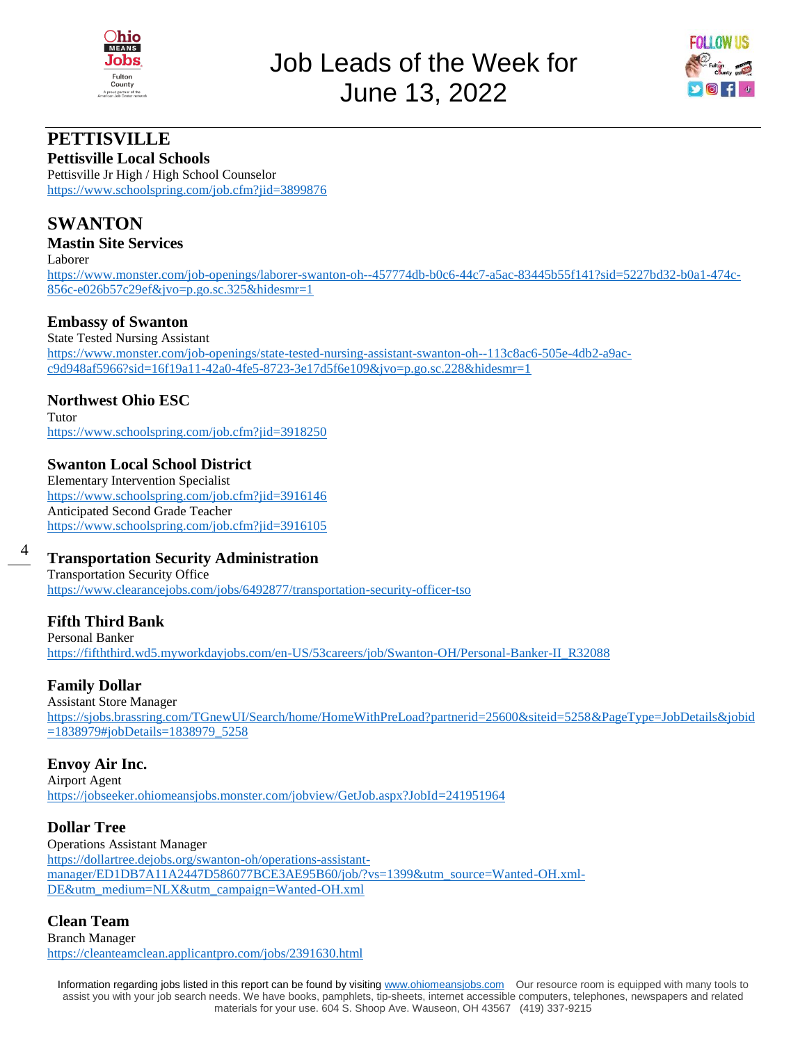



### **PETTISVILLE**

**Pettisville Local Schools** Pettisville Jr High / High School Counselor <https://www.schoolspring.com/job.cfm?jid=3899876>

### **SWANTON**

### **Mastin Site Services**

Laborer

[https://www.monster.com/job-openings/laborer-swanton-oh--457774db-b0c6-44c7-a5ac-83445b55f141?sid=5227bd32-b0a1-474c-](https://www.monster.com/job-openings/laborer-swanton-oh--457774db-b0c6-44c7-a5ac-83445b55f141?sid=5227bd32-b0a1-474c-856c-e026b57c29ef&jvo=p.go.sc.325&hidesmr=1)[856c-e026b57c29ef&jvo=p.go.sc.325&hidesmr=1](https://www.monster.com/job-openings/laborer-swanton-oh--457774db-b0c6-44c7-a5ac-83445b55f141?sid=5227bd32-b0a1-474c-856c-e026b57c29ef&jvo=p.go.sc.325&hidesmr=1)

### **Embassy of Swanton**

State Tested Nursing Assistant [https://www.monster.com/job-openings/state-tested-nursing-assistant-swanton-oh--113c8ac6-505e-4db2-a9ac](https://www.monster.com/job-openings/state-tested-nursing-assistant-swanton-oh--113c8ac6-505e-4db2-a9ac-c9d948af5966?sid=16f19a11-42a0-4fe5-8723-3e17d5f6e109&jvo=p.go.sc.228&hidesmr=1)[c9d948af5966?sid=16f19a11-42a0-4fe5-8723-3e17d5f6e109&jvo=p.go.sc.228&hidesmr=1](https://www.monster.com/job-openings/state-tested-nursing-assistant-swanton-oh--113c8ac6-505e-4db2-a9ac-c9d948af5966?sid=16f19a11-42a0-4fe5-8723-3e17d5f6e109&jvo=p.go.sc.228&hidesmr=1)

### **Northwest Ohio ESC**

Tutor <https://www.schoolspring.com/job.cfm?jid=3918250>

### **Swanton Local School District**

Elementary Intervention Specialist <https://www.schoolspring.com/job.cfm?jid=3916146> Anticipated Second Grade Teacher <https://www.schoolspring.com/job.cfm?jid=3916105>

### **Transportation Security Administration**

Transportation Security Office <https://www.clearancejobs.com/jobs/6492877/transportation-security-officer-tso>

### **Fifth Third Bank**

4

Personal Banker [https://fifththird.wd5.myworkdayjobs.com/en-US/53careers/job/Swanton-OH/Personal-Banker-II\\_R32088](https://fifththird.wd5.myworkdayjobs.com/en-US/53careers/job/Swanton-OH/Personal-Banker-II_R32088)

### **Family Dollar**

Assistant Store Manager [https://sjobs.brassring.com/TGnewUI/Search/home/HomeWithPreLoad?partnerid=25600&siteid=5258&PageType=JobDetails&jobid](https://sjobs.brassring.com/TGnewUI/Search/home/HomeWithPreLoad?partnerid=25600&siteid=5258&PageType=JobDetails&jobid=1838979#jobDetails=1838979_5258) [=1838979#jobDetails=1838979\\_5258](https://sjobs.brassring.com/TGnewUI/Search/home/HomeWithPreLoad?partnerid=25600&siteid=5258&PageType=JobDetails&jobid=1838979#jobDetails=1838979_5258)

### **Envoy Air Inc.**

Airport Agent <https://jobseeker.ohiomeansjobs.monster.com/jobview/GetJob.aspx?JobId=241951964>

### **Dollar Tree**

Operations Assistant Manager [https://dollartree.dejobs.org/swanton-oh/operations-assistant](https://dollartree.dejobs.org/swanton-oh/operations-assistant-manager/ED1DB7A11A2447D586077BCE3AE95B60/job/?vs=1399&utm_source=Wanted-OH.xml-DE&utm_medium=NLX&utm_campaign=Wanted-OH.xml)[manager/ED1DB7A11A2447D586077BCE3AE95B60/job/?vs=1399&utm\\_source=Wanted-OH.xml-](https://dollartree.dejobs.org/swanton-oh/operations-assistant-manager/ED1DB7A11A2447D586077BCE3AE95B60/job/?vs=1399&utm_source=Wanted-OH.xml-DE&utm_medium=NLX&utm_campaign=Wanted-OH.xml)[DE&utm\\_medium=NLX&utm\\_campaign=Wanted-OH.xml](https://dollartree.dejobs.org/swanton-oh/operations-assistant-manager/ED1DB7A11A2447D586077BCE3AE95B60/job/?vs=1399&utm_source=Wanted-OH.xml-DE&utm_medium=NLX&utm_campaign=Wanted-OH.xml)

### **Clean Team**

Branch Manager <https://cleanteamclean.applicantpro.com/jobs/2391630.html>

Information regarding jobs listed in this report can be found by visiting [www.ohiomeansjobs.com](http://www.ohiomeansjobs.com/) Our resource room is equipped with many tools to assist you with your job search needs. We have books, pamphlets, tip-sheets, internet accessible computers, telephones, newspapers and related materials for your use. 604 S. Shoop Ave. Wauseon, OH 43567 (419) 337-9215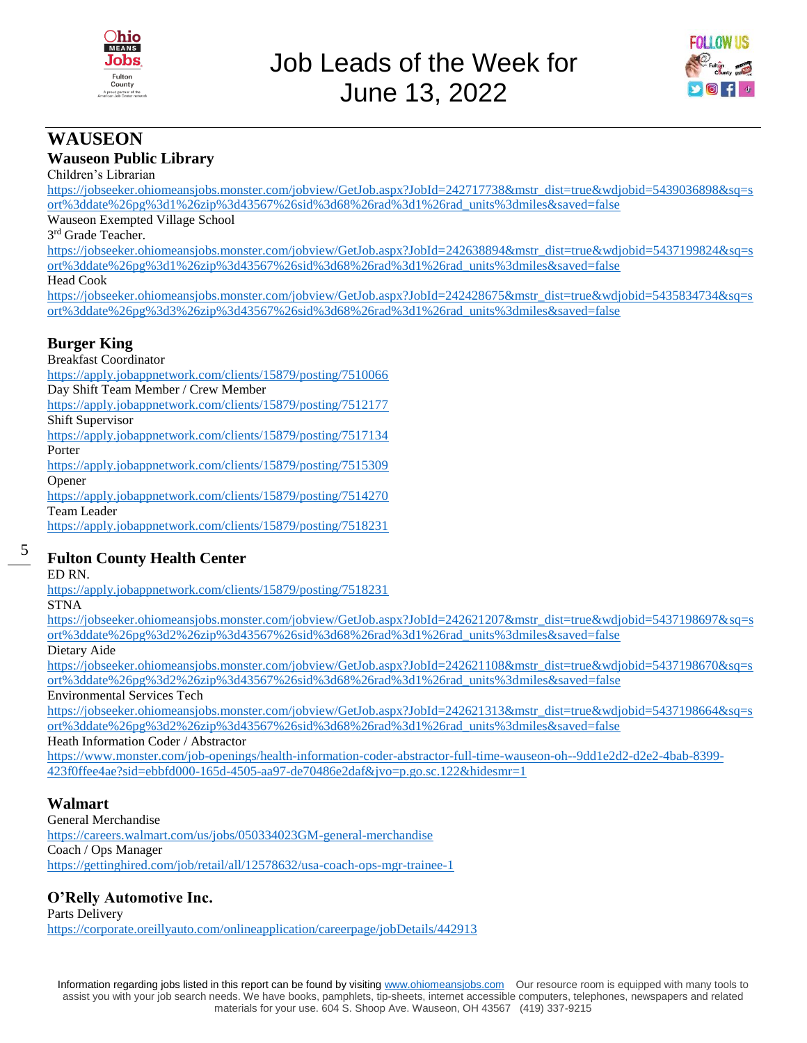



### **WAUSEON**

### **Wauseon Public Library**

Children's Librarian

[https://jobseeker.ohiomeansjobs.monster.com/jobview/GetJob.aspx?JobId=242717738&mstr\\_dist=true&wdjobid=5439036898&sq=s](https://jobseeker.ohiomeansjobs.monster.com/jobview/GetJob.aspx?JobId=242717738&mstr_dist=true&wdjobid=5439036898&sq=sort%3ddate%26pg%3d1%26zip%3d43567%26sid%3d68%26rad%3d1%26rad_units%3dmiles&saved=false) [ort%3ddate%26pg%3d1%26zip%3d43567%26sid%3d68%26rad%3d1%26rad\\_units%3dmiles&saved=false](https://jobseeker.ohiomeansjobs.monster.com/jobview/GetJob.aspx?JobId=242717738&mstr_dist=true&wdjobid=5439036898&sq=sort%3ddate%26pg%3d1%26zip%3d43567%26sid%3d68%26rad%3d1%26rad_units%3dmiles&saved=false)

#### Wauseon Exempted Village School

3 rd Grade Teacher.

[https://jobseeker.ohiomeansjobs.monster.com/jobview/GetJob.aspx?JobId=242638894&mstr\\_dist=true&wdjobid=5437199824&sq=s](https://jobseeker.ohiomeansjobs.monster.com/jobview/GetJob.aspx?JobId=242638894&mstr_dist=true&wdjobid=5437199824&sq=sort%3ddate%26pg%3d1%26zip%3d43567%26sid%3d68%26rad%3d1%26rad_units%3dmiles&saved=false) [ort%3ddate%26pg%3d1%26zip%3d43567%26sid%3d68%26rad%3d1%26rad\\_units%3dmiles&saved=false](https://jobseeker.ohiomeansjobs.monster.com/jobview/GetJob.aspx?JobId=242638894&mstr_dist=true&wdjobid=5437199824&sq=sort%3ddate%26pg%3d1%26zip%3d43567%26sid%3d68%26rad%3d1%26rad_units%3dmiles&saved=false)

Head Cook

[https://jobseeker.ohiomeansjobs.monster.com/jobview/GetJob.aspx?JobId=242428675&mstr\\_dist=true&wdjobid=5435834734&sq=s](https://jobseeker.ohiomeansjobs.monster.com/jobview/GetJob.aspx?JobId=242428675&mstr_dist=true&wdjobid=5435834734&sq=sort%3ddate%26pg%3d3%26zip%3d43567%26sid%3d68%26rad%3d1%26rad_units%3dmiles&saved=false) [ort%3ddate%26pg%3d3%26zip%3d43567%26sid%3d68%26rad%3d1%26rad\\_units%3dmiles&saved=false](https://jobseeker.ohiomeansjobs.monster.com/jobview/GetJob.aspx?JobId=242428675&mstr_dist=true&wdjobid=5435834734&sq=sort%3ddate%26pg%3d3%26zip%3d43567%26sid%3d68%26rad%3d1%26rad_units%3dmiles&saved=false)

### **Burger King**

Breakfast Coordinator

<https://apply.jobappnetwork.com/clients/15879/posting/7510066>

Day Shift Team Member / Crew Member

<https://apply.jobappnetwork.com/clients/15879/posting/7512177>

Shift Supervisor

<https://apply.jobappnetwork.com/clients/15879/posting/7517134> Porter

<https://apply.jobappnetwork.com/clients/15879/posting/7515309> Opener

<https://apply.jobappnetwork.com/clients/15879/posting/7514270>

Team Leader

<https://apply.jobappnetwork.com/clients/15879/posting/7518231>

#### 5

### **Fulton County Health Center**

ED RN.

<https://apply.jobappnetwork.com/clients/15879/posting/7518231>

STNA

[https://jobseeker.ohiomeansjobs.monster.com/jobview/GetJob.aspx?JobId=242621207&mstr\\_dist=true&wdjobid=5437198697&sq=s](https://jobseeker.ohiomeansjobs.monster.com/jobview/GetJob.aspx?JobId=242621207&mstr_dist=true&wdjobid=5437198697&sq=sort%3ddate%26pg%3d2%26zip%3d43567%26sid%3d68%26rad%3d1%26rad_units%3dmiles&saved=false) [ort%3ddate%26pg%3d2%26zip%3d43567%26sid%3d68%26rad%3d1%26rad\\_units%3dmiles&saved=false](https://jobseeker.ohiomeansjobs.monster.com/jobview/GetJob.aspx?JobId=242621207&mstr_dist=true&wdjobid=5437198697&sq=sort%3ddate%26pg%3d2%26zip%3d43567%26sid%3d68%26rad%3d1%26rad_units%3dmiles&saved=false)

Dietary Aide

[https://jobseeker.ohiomeansjobs.monster.com/jobview/GetJob.aspx?JobId=242621108&mstr\\_dist=true&wdjobid=5437198670&sq=s](https://jobseeker.ohiomeansjobs.monster.com/jobview/GetJob.aspx?JobId=242621108&mstr_dist=true&wdjobid=5437198670&sq=sort%3ddate%26pg%3d2%26zip%3d43567%26sid%3d68%26rad%3d1%26rad_units%3dmiles&saved=false) [ort%3ddate%26pg%3d2%26zip%3d43567%26sid%3d68%26rad%3d1%26rad\\_units%3dmiles&saved=false](https://jobseeker.ohiomeansjobs.monster.com/jobview/GetJob.aspx?JobId=242621108&mstr_dist=true&wdjobid=5437198670&sq=sort%3ddate%26pg%3d2%26zip%3d43567%26sid%3d68%26rad%3d1%26rad_units%3dmiles&saved=false)

Environmental Services Tech

[https://jobseeker.ohiomeansjobs.monster.com/jobview/GetJob.aspx?JobId=242621313&mstr\\_dist=true&wdjobid=5437198664&sq=s](https://jobseeker.ohiomeansjobs.monster.com/jobview/GetJob.aspx?JobId=242621313&mstr_dist=true&wdjobid=5437198664&sq=sort%3ddate%26pg%3d2%26zip%3d43567%26sid%3d68%26rad%3d1%26rad_units%3dmiles&saved=false) [ort%3ddate%26pg%3d2%26zip%3d43567%26sid%3d68%26rad%3d1%26rad\\_units%3dmiles&saved=false](https://jobseeker.ohiomeansjobs.monster.com/jobview/GetJob.aspx?JobId=242621313&mstr_dist=true&wdjobid=5437198664&sq=sort%3ddate%26pg%3d2%26zip%3d43567%26sid%3d68%26rad%3d1%26rad_units%3dmiles&saved=false)

Heath Information Coder / Abstractor

[https://www.monster.com/job-openings/health-information-coder-abstractor-full-time-wauseon-oh--9dd1e2d2-d2e2-4bab-8399-](https://www.monster.com/job-openings/health-information-coder-abstractor-full-time-wauseon-oh--9dd1e2d2-d2e2-4bab-8399-423f0ffee4ae?sid=ebbfd000-165d-4505-aa97-de70486e2daf&jvo=p.go.sc.122&hidesmr=1) [423f0ffee4ae?sid=ebbfd000-165d-4505-aa97-de70486e2daf&jvo=p.go.sc.122&hidesmr=1](https://www.monster.com/job-openings/health-information-coder-abstractor-full-time-wauseon-oh--9dd1e2d2-d2e2-4bab-8399-423f0ffee4ae?sid=ebbfd000-165d-4505-aa97-de70486e2daf&jvo=p.go.sc.122&hidesmr=1)

### **Walmart**

General Merchandise <https://careers.walmart.com/us/jobs/050334023GM-general-merchandise> Coach / Ops Manager

<https://gettinghired.com/job/retail/all/12578632/usa-coach-ops-mgr-trainee-1>

### **O'Relly Automotive Inc.**

Parts Delivery <https://corporate.oreillyauto.com/onlineapplication/careerpage/jobDetails/442913>